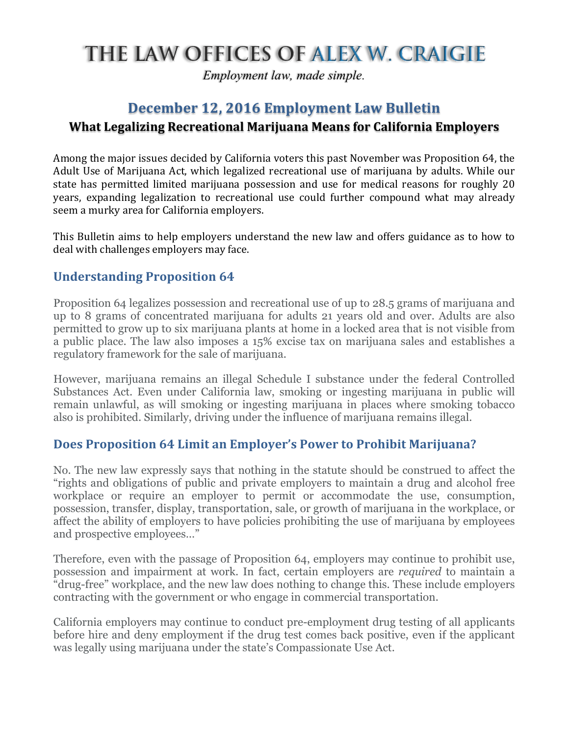# THE LAW OFFICES OF ALEX W. CRAIGIE

*Employment law, made simple.*

## **December 12, 2016 Employment Law Bulletin What Legalizing Recreational Marijuana Means for California Employers**

Among the major issues decided by California voters this past November was Proposition 64, the Adult Use of Marijuana Act, which legalized recreational use of marijuana by adults. While our state has permitted limited marijuana possession and use for medical reasons for roughly 20 years, expanding legalization to recreational use could further compound what may already seem a murky area for California employers.

This Bulletin aims to help employers understand the new law and offers guidance as to how to deal with challenges employers may face.

#### **Understanding Proposition 64**

Proposition 64 legalizes possession and recreational use of up to 28.5 grams of marijuana and up to 8 grams of concentrated marijuana for adults 21 years old and over. Adults are also permitted to grow up to six marijuana plants at home in a locked area that is not visible from a public place. The law also imposes a 15% excise tax on marijuana sales and establishes a regulatory framework for the sale of marijuana.

However, marijuana remains an illegal Schedule I substance under the federal Controlled Substances Act. Even under California law, smoking or ingesting marijuana in public will remain unlawful, as will smoking or ingesting marijuana in places where smoking tobacco also is prohibited. Similarly, driving under the influence of marijuana remains illegal.

#### **Does Proposition 64 Limit an Employer's Power to Prohibit Marijuana?**

No. The new law expressly says that nothing in the statute should be construed to affect the "rights and obligations of public and private employers to maintain a drug and alcohol free workplace or require an employer to permit or accommodate the use, consumption, possession, transfer, display, transportation, sale, or growth of marijuana in the workplace, or affect the ability of employers to have policies prohibiting the use of marijuana by employees and prospective employees…"

Therefore, even with the passage of Proposition 64, employers may continue to prohibit use, possession and impairment at work. In fact, certain employers are *required* to maintain a "drug-free" workplace, and the new law does nothing to change this. These include employers contracting with the government or who engage in commercial transportation.

California employers may continue to conduct pre-employment drug testing of all applicants before hire and deny employment if the drug test comes back positive, even if the applicant was legally using marijuana under the state's Compassionate Use Act.